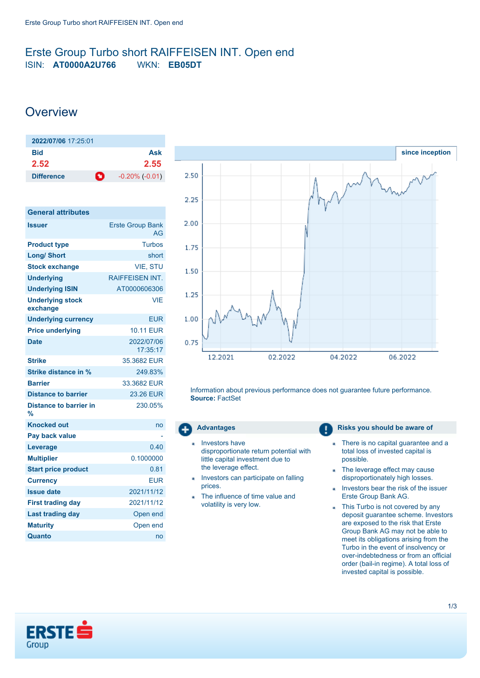## <span id="page-0-0"></span>Erste Group Turbo short RAIFFEISEN INT. Open end ISIN: **AT0000A2U766** WKN: **EB05DT**

# **Overview**

| 2022/07/06 17:25:01            |                     |
|--------------------------------|---------------------|
| Bid                            | Ask                 |
| 2.52                           | 2.55                |
| $\bullet$<br><b>Difference</b> | $-0.20\%$ $(-0.01)$ |

| <b>General attributes</b>           |                               |
|-------------------------------------|-------------------------------|
| <b>Issuer</b>                       | <b>Erste Group Bank</b><br>AG |
| <b>Product type</b>                 | Turbos                        |
| <b>Long/ Short</b>                  | short                         |
| <b>Stock exchange</b>               | <b>VIE. STU</b>               |
| <b>Underlying</b>                   | <b>RAIFFEISEN INT.</b>        |
| <b>Underlying ISIN</b>              | AT0000606306                  |
| <b>Underlying stock</b><br>exchange | VIF                           |
| <b>Underlying currency</b>          | <b>EUR</b>                    |
| <b>Price underlying</b>             | <b>10.11 EUR</b>              |
| <b>Date</b>                         | 2022/07/06<br>17:35:17        |
| <b>Strike</b>                       | 35.3682 FUR                   |
| <b>Strike distance in %</b>         | 249.83%                       |
| <b>Barrier</b>                      | 33.3682 EUR                   |
| <b>Distance to barrier</b>          | 23.26 EUR                     |
| Distance to barrier in<br>%         | 230.05%                       |
| <b>Knocked out</b>                  | no                            |
| Pay back value                      |                               |
| Leverage                            | 0.40                          |
| <b>Multiplier</b>                   | 0.1000000                     |
| <b>Start price product</b>          | 0.81                          |
| <b>Currency</b>                     | <b>EUR</b>                    |
| <b>Issue date</b>                   | 2021/11/12                    |
| <b>First trading day</b>            | 2021/11/12                    |
| <b>Last trading day</b>             | Open end                      |
| <b>Maturity</b>                     | Open end                      |
| Quanto                              | no                            |



Information about previous performance does not guarantee future performance. **Source:** FactSet

- Investors have disproportionate return potential with little capital investment due to the leverage effect.
- Investors can participate on falling prices.
- The influence of time value and ä volatility is very low.

#### **Advantages Risks you should be aware of Risks** you should be aware of

- There is no capital guarantee and a a, total loss of invested capital is possible.
- The leverage effect may cause disproportionately high losses.
- Investors bear the risk of the issuer a, Erste Group Bank AG.
- This Turbo is not covered by any deposit guarantee scheme. Investors are exposed to the risk that Erste Group Bank AG may not be able to meet its obligations arising from the Turbo in the event of insolvency or over-indebtedness or from an official order (bail-in regime). A total loss of invested capital is possible.

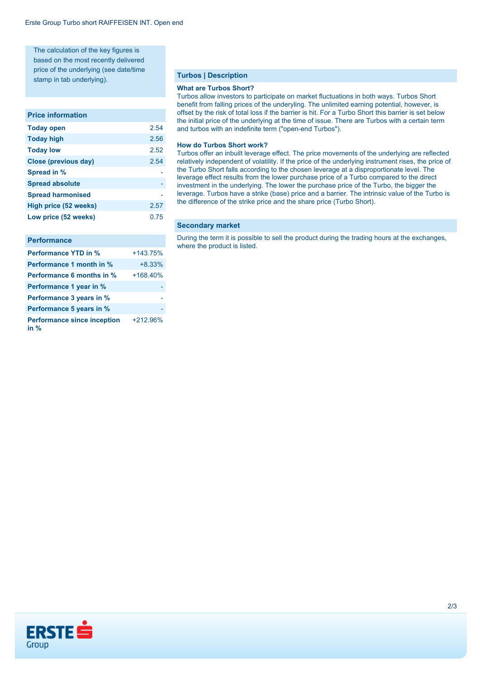The calculation of the key figures is based on the most recently delivered price of the underlying (see date/time stamp in tab underlying).

#### **Price information**

| 2.54 |
|------|
| 2.56 |
| 2.52 |
| 2.54 |
|      |
|      |
|      |
| 2.57 |
| 0.75 |
|      |

#### **Performance**

| <b>Performance YTD in %</b>                | $+143.75%$ |
|--------------------------------------------|------------|
| <b>Performance 1 month in %</b>            | $+8.33%$   |
| <b>Performance 6 months in %</b>           | $+168.40%$ |
| Performance 1 year in %                    |            |
| Performance 3 years in %                   |            |
| Performance 5 years in %                   |            |
| <b>Performance since inception</b><br>in % | +212.96%   |

#### **Turbos | Description**

#### **What are Turbos Short?**

Turbos allow investors to participate on market fluctuations in both ways. Turbos Short benefit from falling prices of the underyling. The unlimited earning potential, however, is offset by the risk of total loss if the barrier is hit. For a Turbo Short this barrier is set below the initial price of the underlying at the time of issue. There are Turbos with a certain term and turbos with an indefinite term ("open-end Turbos").

#### **How do Turbos Short work?**

Turbos offer an inbuilt leverage effect. The price movements of the underlying are reflected relatively independent of volatility. If the price of the underlying instrument rises, the price of the Turbo Short falls according to the chosen leverage at a disproportionate level. The leverage effect results from the lower purchase price of a Turbo compared to the direct investment in the underlying. The lower the purchase price of the Turbo, the bigger the leverage. Turbos have a strike (base) price and a barrier. The intrinsic value of the Turbo is the difference of the strike price and the share price (Turbo Short).

#### **Secondary market**

During the term it is possible to sell the product during the trading hours at the exchanges, where the product is listed.